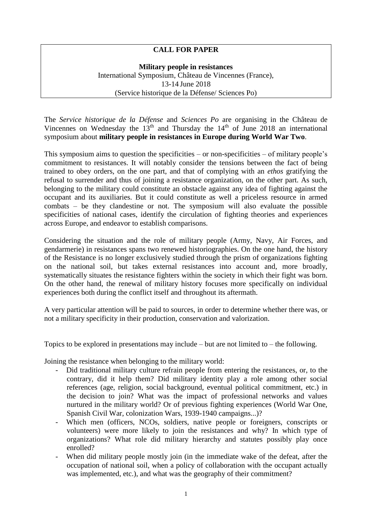## **CALL FOR PAPER**

**Military people in resistances** International Symposium, Château de Vincennes (France), 13-14 June 2018 (Service historique de la Défense/ Sciences Po)

The *Service historique de la Défense* and *Sciences Po* are organising in the Château de Vincennes on Wednesday the  $13<sup>th</sup>$  and Thursday the  $14<sup>th</sup>$  of June 2018 an international symposium about **military people in resistances in Europe during World War Two**.

This symposium aims to question the specificities – or non-specificities – of military people's commitment to resistances. It will notably consider the tensions between the fact of being trained to obey orders, on the one part, and that of complying with an *ethos* gratifying the refusal to surrender and thus of joining a resistance organization, on the other part. As such, belonging to the military could constitute an obstacle against any idea of fighting against the occupant and its auxiliaries. But it could constitute as well a priceless resource in armed combats – be they clandestine or not. The symposium will also evaluate the possible specificities of national cases, identify the circulation of fighting theories and experiences across Europe, and endeavor to establish comparisons.

Considering the situation and the role of military people (Army, Navy, Air Forces, and gendarmerie) in resistances spans two renewed historiographies. On the one hand, the history of the Resistance is no longer exclusively studied through the prism of organizations fighting on the national soil, but takes external resistances into account and, more broadly, systematically situates the resistance fighters within the society in which their fight was born. On the other hand, the renewal of military history focuses more specifically on individual experiences both during the conflict itself and throughout its aftermath.

A very particular attention will be paid to sources, in order to determine whether there was, or not a military specificity in their production, conservation and valorization.

Topics to be explored in presentations may include – but are not limited to – the following.

Joining the resistance when belonging to the military world:

- Did traditional military culture refrain people from entering the resistances, or, to the contrary, did it help them? Did military identity play a role among other social references (age, religion, social background, eventual political commitment, etc.) in the decision to join? What was the impact of professional networks and values nurtured in the military world? Or of previous fighting experiences (World War One, Spanish Civil War, colonization Wars, 1939-1940 campaigns...)?
- Which men (officers, NCOs, soldiers, native people or foreigners, conscripts or volunteers) were more likely to join the resistances and why? In which type of organizations? What role did military hierarchy and statutes possibly play once enrolled?
- When did military people mostly join (in the immediate wake of the defeat, after the occupation of national soil, when a policy of collaboration with the occupant actually was implemented, etc.), and what was the geography of their commitment?